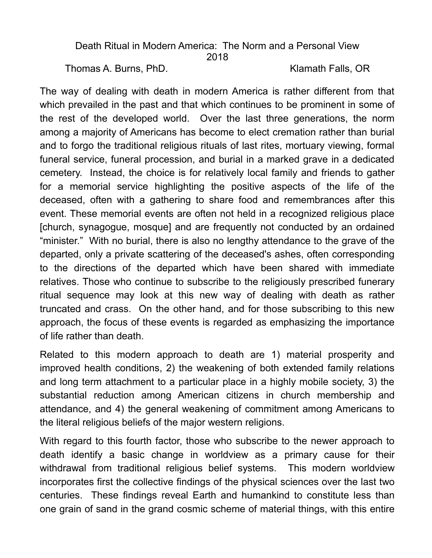## Death Ritual in Modern America: The Norm and a Personal View 2018

Thomas A. Burns, PhD. Klamath Falls, OR

The way of dealing with death in modern America is rather different from that which prevailed in the past and that which continues to be prominent in some of the rest of the developed world. Over the last three generations, the norm among a majority of Americans has become to elect cremation rather than burial and to forgo the traditional religious rituals of last rites, mortuary viewing, formal funeral service, funeral procession, and burial in a marked grave in a dedicated cemetery. Instead, the choice is for relatively local family and friends to gather for a memorial service highlighting the positive aspects of the life of the deceased, often with a gathering to share food and remembrances after this event. These memorial events are often not held in a recognized religious place [church, synagogue, mosque] and are frequently not conducted by an ordained "minister." With no burial, there is also no lengthy attendance to the grave of the departed, only a private scattering of the deceased's ashes, often corresponding to the directions of the departed which have been shared with immediate relatives. Those who continue to subscribe to the religiously prescribed funerary ritual sequence may look at this new way of dealing with death as rather truncated and crass. On the other hand, and for those subscribing to this new approach, the focus of these events is regarded as emphasizing the importance of life rather than death.

Related to this modern approach to death are 1) material prosperity and improved health conditions, 2) the weakening of both extended family relations and long term attachment to a particular place in a highly mobile society, 3) the substantial reduction among American citizens in church membership and attendance, and 4) the general weakening of commitment among Americans to the literal religious beliefs of the major western religions.

With regard to this fourth factor, those who subscribe to the newer approach to death identify a basic change in worldview as a primary cause for their withdrawal from traditional religious belief systems. This modern worldview incorporates first the collective findings of the physical sciences over the last two centuries. These findings reveal Earth and humankind to constitute less than one grain of sand in the grand cosmic scheme of material things, with this entire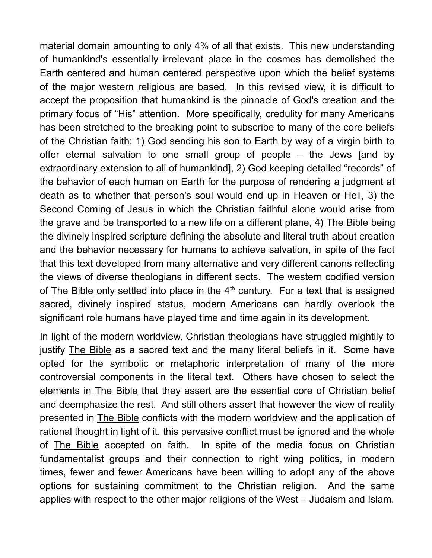material domain amounting to only 4% of all that exists. This new understanding of humankind's essentially irrelevant place in the cosmos has demolished the Earth centered and human centered perspective upon which the belief systems of the major western religious are based. In this revised view, it is difficult to accept the proposition that humankind is the pinnacle of God's creation and the primary focus of "His" attention. More specifically, credulity for many Americans has been stretched to the breaking point to subscribe to many of the core beliefs of the Christian faith: 1) God sending his son to Earth by way of a virgin birth to offer eternal salvation to one small group of people – the Jews [and by extraordinary extension to all of humankind], 2) God keeping detailed "records" of the behavior of each human on Earth for the purpose of rendering a judgment at death as to whether that person's soul would end up in Heaven or Hell, 3) the Second Coming of Jesus in which the Christian faithful alone would arise from the grave and be transported to a new life on a different plane, 4) The Bible being the divinely inspired scripture defining the absolute and literal truth about creation and the behavior necessary for humans to achieve salvation, in spite of the fact that this text developed from many alternative and very different canons reflecting the views of diverse theologians in different sects. The western codified version of The Bible only settled into place in the  $4<sup>th</sup>$  century. For a text that is assigned sacred, divinely inspired status, modern Americans can hardly overlook the significant role humans have played time and time again in its development.

In light of the modern worldview, Christian theologians have struggled mightily to justify The Bible as a sacred text and the many literal beliefs in it. Some have opted for the symbolic or metaphoric interpretation of many of the more controversial components in the literal text. Others have chosen to select the elements in **The Bible** that they assert are the essential core of Christian belief and deemphasize the rest. And still others assert that however the view of reality presented in The Bible conflicts with the modern worldview and the application of rational thought in light of it, this pervasive conflict must be ignored and the whole of The Bible accepted on faith. In spite of the media focus on Christian fundamentalist groups and their connection to right wing politics, in modern times, fewer and fewer Americans have been willing to adopt any of the above options for sustaining commitment to the Christian religion. And the same applies with respect to the other major religions of the West – Judaism and Islam.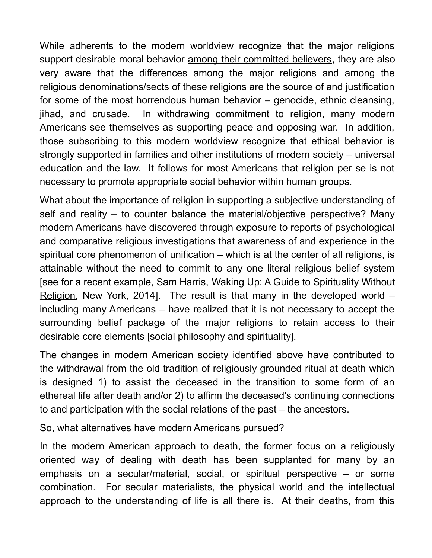While adherents to the modern worldview recognize that the major religions support desirable moral behavior among their committed believers, they are also very aware that the differences among the major religions and among the religious denominations/sects of these religions are the source of and justification for some of the most horrendous human behavior – genocide, ethnic cleansing, jihad, and crusade. In withdrawing commitment to religion, many modern Americans see themselves as supporting peace and opposing war. In addition, those subscribing to this modern worldview recognize that ethical behavior is strongly supported in families and other institutions of modern society – universal education and the law. It follows for most Americans that religion per se is not necessary to promote appropriate social behavior within human groups.

What about the importance of religion in supporting a subjective understanding of self and reality – to counter balance the material/objective perspective? Many modern Americans have discovered through exposure to reports of psychological and comparative religious investigations that awareness of and experience in the spiritual core phenomenon of unification – which is at the center of all religions, is attainable without the need to commit to any one literal religious belief system [see for a recent example, Sam Harris, Waking Up: A Guide to Spirituality Without Religion, New York, 2014]. The result is that many in the developed world – including many Americans – have realized that it is not necessary to accept the surrounding belief package of the major religions to retain access to their desirable core elements [social philosophy and spirituality].

The changes in modern American society identified above have contributed to the withdrawal from the old tradition of religiously grounded ritual at death which is designed 1) to assist the deceased in the transition to some form of an ethereal life after death and/or 2) to affirm the deceased's continuing connections to and participation with the social relations of the past – the ancestors.

So, what alternatives have modern Americans pursued?

In the modern American approach to death, the former focus on a religiously oriented way of dealing with death has been supplanted for many by an emphasis on a secular/material, social, or spiritual perspective – or some combination. For secular materialists, the physical world and the intellectual approach to the understanding of life is all there is. At their deaths, from this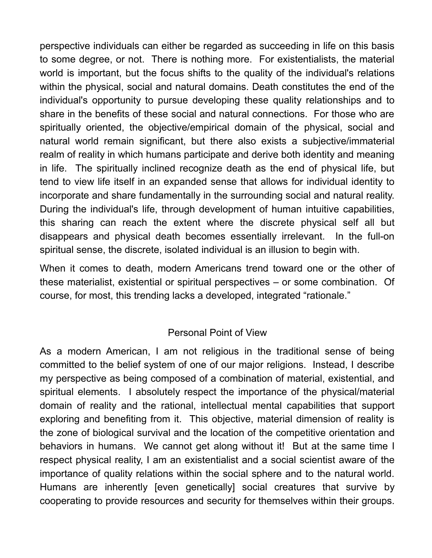perspective individuals can either be regarded as succeeding in life on this basis to some degree, or not. There is nothing more. For existentialists, the material world is important, but the focus shifts to the quality of the individual's relations within the physical, social and natural domains. Death constitutes the end of the individual's opportunity to pursue developing these quality relationships and to share in the benefits of these social and natural connections. For those who are spiritually oriented, the objective/empirical domain of the physical, social and natural world remain significant, but there also exists a subjective/immaterial realm of reality in which humans participate and derive both identity and meaning in life. The spiritually inclined recognize death as the end of physical life, but tend to view life itself in an expanded sense that allows for individual identity to incorporate and share fundamentally in the surrounding social and natural reality. During the individual's life, through development of human intuitive capabilities, this sharing can reach the extent where the discrete physical self all but disappears and physical death becomes essentially irrelevant. In the full-on spiritual sense, the discrete, isolated individual is an illusion to begin with.

When it comes to death, modern Americans trend toward one or the other of these materialist, existential or spiritual perspectives – or some combination. Of course, for most, this trending lacks a developed, integrated "rationale."

## Personal Point of View

As a modern American, I am not religious in the traditional sense of being committed to the belief system of one of our major religions. Instead, I describe my perspective as being composed of a combination of material, existential, and spiritual elements. I absolutely respect the importance of the physical/material domain of reality and the rational, intellectual mental capabilities that support exploring and benefiting from it. This objective, material dimension of reality is the zone of biological survival and the location of the competitive orientation and behaviors in humans. We cannot get along without it! But at the same time I respect physical reality, I am an existentialist and a social scientist aware of the importance of quality relations within the social sphere and to the natural world. Humans are inherently [even genetically] social creatures that survive by cooperating to provide resources and security for themselves within their groups.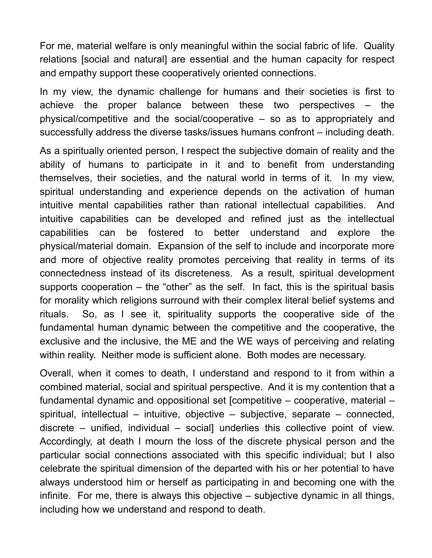For me, material welfare is only meaningful within the social fabric of life. Quality relations [social and natural] are essential and the human capacity for respect and empathy support these cooperatively oriented connections.

In my view, the dynamic challenge for humans and their societies is first to achieve the proper balance between these two perspectives – the physical/competitive and the social/cooperative – so as to appropriately and successfully address the diverse tasks/issues humans confront – including death.

As a spiritually oriented person, I respect the subjective domain of reality and the ability of humans to participate in it and to benefit from understanding themselves, their societies, and the natural world in terms of it. In my view, spiritual understanding and experience depends on the activation of human intuitive mental capabilities rather than rational intellectual capabilities. And intuitive capabilities can be developed and refined just as the intellectual capabilities can be fostered to better understand and explore the physical/material domain. Expansion of the self to include and incorporate more and more of objective reality promotes perceiving that reality in terms of its connectedness instead of its discreteness. As a result, spiritual development supports cooperation – the "other" as the self. In fact, this is the spiritual basis for morality which religions surround with their complex literal belief systems and rituals. So, as I see it, spirituality supports the cooperative side of the fundamental human dynamic between the competitive and the cooperative, the exclusive and the inclusive, the ME and the WE ways of perceiving and relating within reality. Neither mode is sufficient alone. Both modes are necessary.

Overall, when it comes to death, I understand and respond to it from within a combined material, social and spiritual perspective. And it is my contention that a fundamental dynamic and oppositional set [competitive – cooperative, material – spiritual, intellectual – intuitive, objective – subjective, separate – connected, discrete – unified, individual – social] underlies this collective point of view. Accordingly, at death I mourn the loss of the discrete physical person and the particular social connections associated with this specific individual; but I also celebrate the spiritual dimension of the departed with his or her potential to have always understood him or herself as participating in and becoming one with the infinite. For me, there is always this objective – subjective dynamic in all things, including how we understand and respond to death.